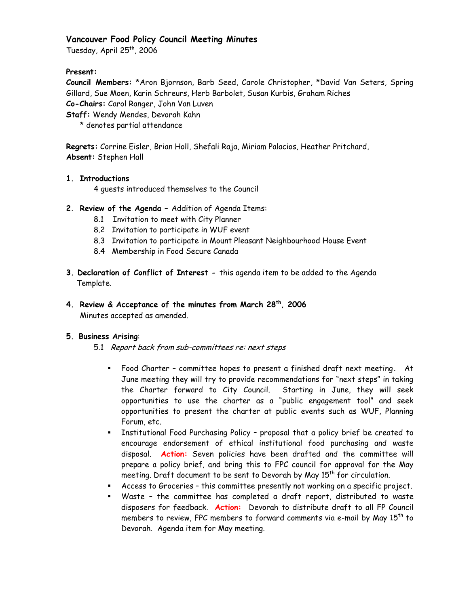## Vancouver Food Policy Council Meeting Minutes

Tuesday, April 25<sup>th</sup>, 2006

### Present:

Council Members: \* Aron Bjornson, Barb Seed, Carole Christopher, \* David Van Seters, Spring Gillard, Sue Moen, Karin Schreurs, Herb Barbolet, Susan Kurbis, Graham Riches Co-Chairs: Carol Ranger, John Van Luven Staff: Wendy Mendes, Devorah Kahn

\* denotes partial attendance

Regrets: Corrine Eisler, Brian Holl, Shefali Raja, Miriam Palacios, Heather Pritchard, Absent: Stephen Hall

### 1. Introductions

4 quests introduced themselves to the Council

- 2. Review of the Agenda Addition of Agenda Items:
	- 8.1 Invitation to meet with City Planner
	- 8.2 Invitation to participate in WUF event
	- 8.3 Invitation to participate in Mount Pleasant Neighbourhood House Event
	- 8.4 Membership in Food Secure Canada
- 3. Declaration of Conflict of Interest this agenda item to be added to the Agenda Template.
- 4. Review & Acceptance of the minutes from March 28<sup>th</sup>, 2006 Minutes accepted as amended.

#### 5. Business Arising:

- 5.1 Report back from sub-committees re: next steps
	- " Food Charter committee hopes to present a finished draft next meeting. At June meeting they will try to provide recommendations for "next steps" in taking the Charter forward to City Council. Starting in June, they will seek opportunities to use the charter as a "public engagement tool" and seek opportunities to present the charter at public events such as WUF, Planning Forum, etc.
	- " Institutional Food Purchasing Policy proposal that a policy brief be created to encourage endorsement of ethical institutional food purchasing and waste disposal. Action: Seven policies have been drafted and the committee will prepare a policy brief, and bring this to FPC council for approval for the May meeting. Draft document to be sent to Devorah by May 15<sup>th</sup> for circulation.
	- " Access to Groceries this committee presently not working on a specific project.
	- " Waste the committee has completed a draft report, distributed to waste disposers for feedback. Action: Devorah to distribute draft to all FP Council members to review, FPC members to forward comments via e-mail by May 15<sup>th</sup> to Devorah. Agenda item for May meeting.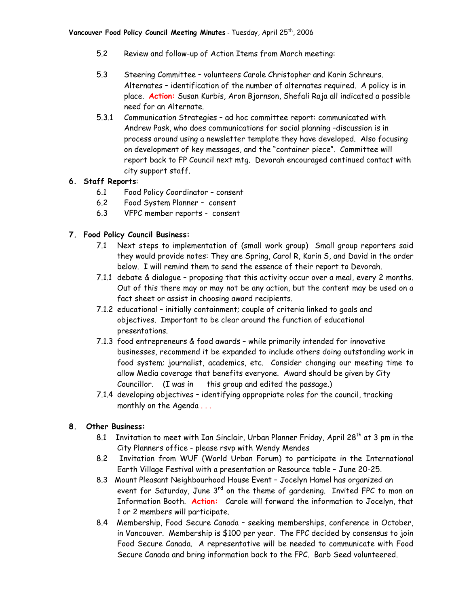- $5.2$ Review and follow-up of Action Items from March meeting:
- $5.3$ Steering Committee - volunteers Carole Christopher and Karin Schreurs. Alternates - identification of the number of alternates required. A policy is in place. Action: Susan Kurbis, Aron Bjornson, Shefali Raja all indicated a possible need for an Alternate.
- $5.3.1$ Communication Strategies - ad hoc committee report: communicated with Andrew Pask, who does communications for social planning -discussion is in process around using a newsletter template they have developed. Also focusing on development of key messages, and the "container piece". Committee will report back to FP Council next mtg. Devorah encouraged continued contact with city support staff.

### 6. Staff Reports:

- $6.1$ Food Policy Coordinator - consent
- $6.2$ Food System Planner - consent
- $6.3$ VFPC member reports - consent

### 7. Food Policy Council Business:

- 7.1 Next steps to implementation of (small work group) Small group reporters said they would provide notes: They are Spring, Carol R, Karin S, and David in the order below. I will remind them to send the essence of their report to Devorah.
- 7.1.1 debate & dialogue proposing that this activity occur over a meal, every 2 months. Out of this there may or may not be any action, but the content may be used on a fact sheet or assist in choosing award recipients.
- 7.1.2 educational initially containment; couple of criteria linked to goals and objectives. Important to be clear around the function of educational presentations.
- 7.1.3 food entrepreneurs & food awards while primarily intended for innovative businesses, recommend it be expanded to include others doing outstanding work in food system; journalist, academics, etc. Consider changing our meeting time to allow Media coverage that benefits everyone. Award should be given by City this group and edited the passage.) Councillor. (I was in
- 7.1.4 developing objectives identifying appropriate roles for the council, tracking monthly on the Agenda ...

# 8. Other Business:

- 8.1 Invitation to meet with Ian Sinclair, Urban Planner Friday, April 28<sup>th</sup> at 3 pm in the City Planners office - please rsvp with Wendy Mendes
- 8.2 Invitation from WUF (World Urban Forum) to participate in the International Earth Village Festival with a presentation or Resource table - June 20-25.
- 8.3 Mount Pleasant Neighbourhood House Event Jocelyn Hamel has organized an event for Saturday, June 3<sup>rd</sup> on the theme of gardening. Invited FPC to man an Information Booth. Action: Carole will forward the information to Jocelyn, that 1 or 2 members will participate.
- 8.4 Membership, Food Secure Canada seeking memberships, conference in October, in Vancouver. Membership is \$100 per year. The FPC decided by consensus to join Food Secure Canada. A representative will be needed to communicate with Food Secure Canada and bring information back to the FPC. Barb Seed volunteered.